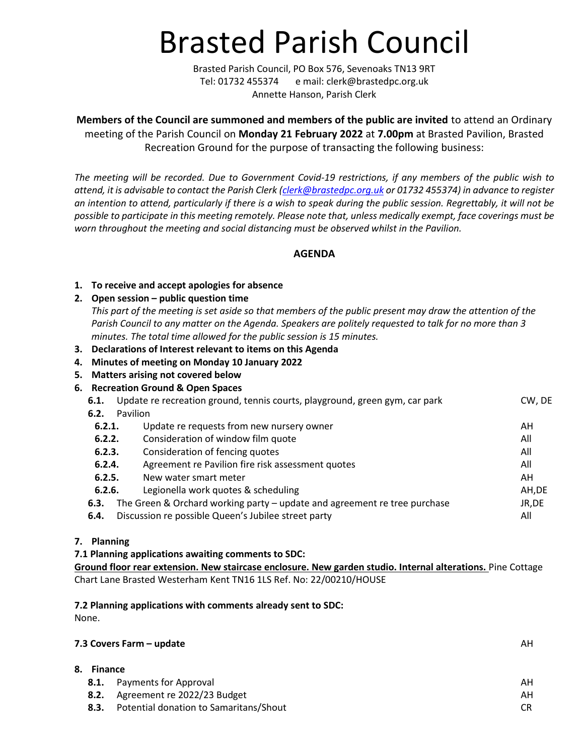# Brasted Parish Council

Brasted Parish Council, PO Box 576, Sevenoaks TN13 9RT Tel: 01732 455374 e mail: clerk@brastedpc.org.uk Annette Hanson, Parish Clerk

**Members of the Council are summoned and members of the public are invited** to attend an Ordinary meeting of the Parish Council on **Monday 21 February 2022** at **7.00pm** at Brasted Pavilion, Brasted Recreation Ground for the purpose of transacting the following business:

*The meeting will be recorded. Due to Government Covid-19 restrictions, if any members of the public wish to attend, it is advisable to contact the Parish Clerk [\(clerk@brastedpc.org.uk](mailto:clerk@brastedpc.org.uk) or 01732 455374) in advance to register an intention to attend, particularly if there is a wish to speak during the public session. Regrettably, it will not be possible to participate in this meeting remotely. Please note that, unless medically exempt, face coverings must be worn throughout the meeting and social distancing must be observed whilst in the Pavilion.*

**AGENDA**

#### **1. To receive and accept apologies for absence**

### **2. Open session – public question time**

*This part of the meeting is set aside so that members of the public present may draw the attention of the Parish Council to any matter on the Agenda. Speakers are politely requested to talk for no more than 3 minutes. The total time allowed for the public session is 15 minutes.*

- **3. Declarations of Interest relevant to items on this Agenda**
- **4. Minutes of meeting on Monday 10 January 2022**
- **5. Matters arising not covered below**
- **6. Recreation Ground & Open Spaces**

| 6.1.             |          | Update re recreation ground, tennis courts, playground, green gym, car park | CW, DE |
|------------------|----------|-----------------------------------------------------------------------------|--------|
| 6.2.             | Pavilion |                                                                             |        |
| 6.2.1.           |          | Update re requests from new nursery owner                                   | AH     |
| 6.2.2.           |          | Consideration of window film quote                                          | All    |
| 6.2.3.           |          | Consideration of fencing quotes                                             | All    |
| 6.2.4.           |          | Agreement re Pavilion fire risk assessment quotes                           | All    |
| 6.2.5.<br>6.2.6. |          | New water smart meter                                                       | AH     |
|                  |          | Legionella work quotes & scheduling                                         | AH,DE  |
| 6.3.             |          | The Green & Orchard working party - update and agreement re tree purchase   | JR, DE |
| 6.4.             |          | Discussion re possible Queen's Jubilee street party                         | All    |

#### **7. Planning**

#### **7.1 Planning applications awaiting comments to SDC:**

**[Ground floor rear extension. New staircase enclosure. New garden studio. Internal alterations.](https://pa.sevenoaks.gov.uk/online-applications/applicationDetails.do?keyVal=R69LQCBK0LO00&activeTab=summary)** Pine Cottage Chart Lane Brasted Westerham Kent TN16 1LS Ref. No: 22/00210/HOUSE

#### **7.2 Planning applications with comments already sent to SDC:**

None.

## **7.3 Covers Farm – update** AH

| 8. Finance |                                        |    |  |  |
|------------|----------------------------------------|----|--|--|
|            | <b>8.1.</b> Payments for Approval      | ΑН |  |  |
| 8.2.       | Agreement re 2022/23 Budget            | ΑH |  |  |
| 8.3.       | Potential donation to Samaritans/Shout |    |  |  |
|            |                                        |    |  |  |